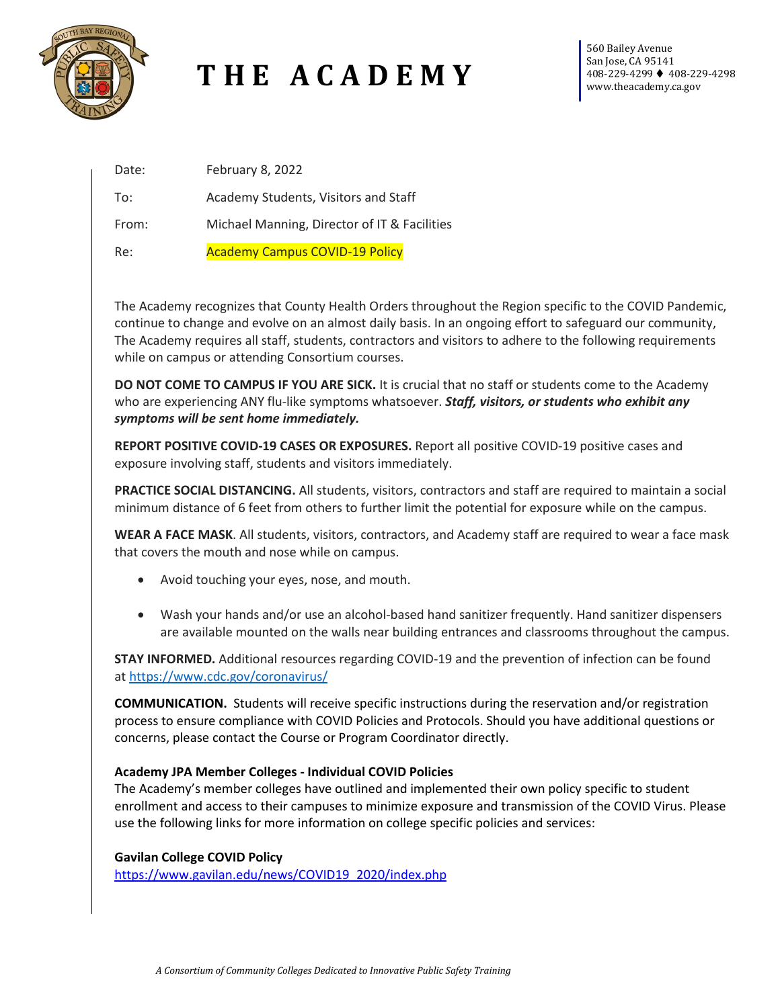

# **T H E A C A D E M Y**

560 Bailey Avenue San Jose, CA 95141 408-229-4299 408-229-4298 www.theacademy.ca.gov

| Date: | February 8, 2022                             |
|-------|----------------------------------------------|
| To:   | Academy Students, Visitors and Staff         |
| From: | Michael Manning, Director of IT & Facilities |
| Re:   | <b>Academy Campus COVID-19 Policy</b>        |

The Academy recognizes that County Health Orders throughout the Region specific to the COVID Pandemic, continue to change and evolve on an almost daily basis. In an ongoing effort to safeguard our community, The Academy requires all staff, students, contractors and visitors to adhere to the following requirements while on campus or attending Consortium courses.

**DO NOT COME TO CAMPUS IF YOU ARE SICK.** It is crucial that no staff or students come to the Academy who are experiencing ANY flu-like symptoms whatsoever. *Staff, visitors, or students who exhibit any symptoms will be sent home immediately.*

**REPORT POSITIVE COVID-19 CASES OR EXPOSURES.** Report all positive COVID-19 positive cases and exposure involving staff, students and visitors immediately.

**PRACTICE SOCIAL DISTANCING.** All students, visitors, contractors and staff are required to maintain a social minimum distance of 6 feet from others to further limit the potential for exposure while on the campus.

**WEAR A FACE MASK**. All students, visitors, contractors, and Academy staff are required to wear a face mask that covers the mouth and nose while on campus.

- Avoid touching your eyes, nose, and mouth.
- Wash your hands and/or use an alcohol-based hand sanitizer frequently. Hand sanitizer dispensers are available mounted on the walls near building entrances and classrooms throughout the campus.

**STAY INFORMED.** Additional resources regarding COVID-19 and the prevention of infection can be found at <https://www.cdc.gov/coronavirus/>

**COMMUNICATION.** Students will receive specific instructions during the reservation and/or registration process to ensure compliance with COVID Policies and Protocols. Should you have additional questions or concerns, please contact the Course or Program Coordinator directly.

### **Academy JPA Member Colleges - Individual COVID Policies**

The Academy's member colleges have outlined and implemented their own policy specific to student enrollment and access to their campuses to minimize exposure and transmission of the COVID Virus. Please use the following links for more information on college specific policies and services:

### **Gavilan College COVID Policy**

[https://www.gavilan.edu/news/COVID19\\_2020/index.php](https://www.gavilan.edu/news/COVID19_2020/index.php)